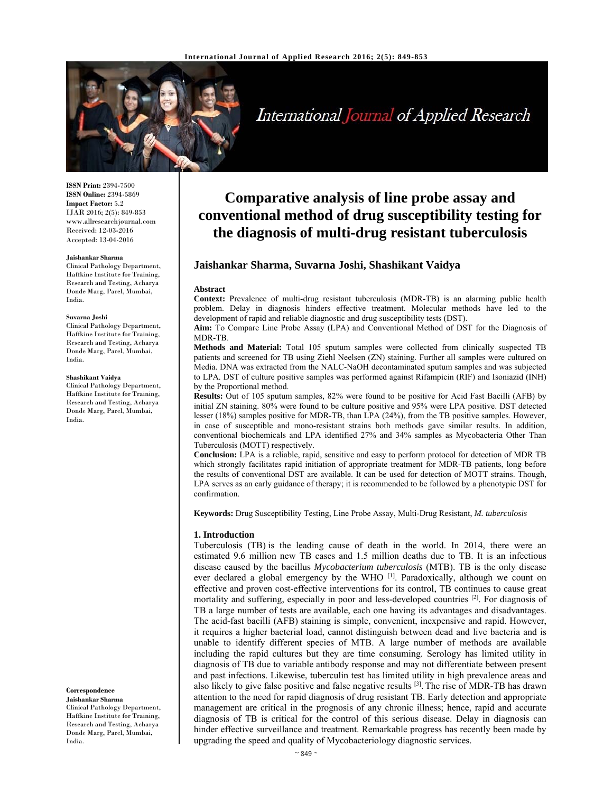

International Journal of Applied Research

**ISSN Print:** 2394-7500 **ISSN Online:** 2394-5869 **Impact Factor:** 5.2 IJAR 2016; 2(5): 849-853 www.allresearchjournal.com Received: 12-03-2016 Accepted: 13-04-2016

#### **Jaishankar Sharma**

Clinical Pathology Department, Haffkine Institute for Training, Research and Testing, Acharya Donde Marg, Parel, Mumbai, India.

#### **Suvarna Joshi**

Clinical Pathology Department, Haffkine Institute for Training, Research and Testing, Acharya Donde Marg, Parel, Mumbai, India.

#### **Shashikant Vaidya**

Clinical Pathology Department, Haffkine Institute for Training, Research and Testing, Acharya Donde Marg, Parel, Mumbai, India.

**Correspondence**

**Jaishankar Sharma**  Clinical Pathology Department, Haffkine Institute for Training, Research and Testing, Acharya Donde Marg, Parel, Mumbai, India.

# **Comparative analysis of line probe assay and conventional method of drug susceptibility testing for the diagnosis of multi-drug resistant tuberculosis**

## **Jaishankar Sharma, Suvarna Joshi, Shashikant Vaidya**

### **Abstract**

**Context:** Prevalence of multi-drug resistant tuberculosis (MDR-TB) is an alarming public health problem. Delay in diagnosis hinders effective treatment. Molecular methods have led to the development of rapid and reliable diagnostic and drug susceptibility tests (DST).

**Aim:** To Compare Line Probe Assay (LPA) and Conventional Method of DST for the Diagnosis of MDR-TB.

**Methods and Material:** Total 105 sputum samples were collected from clinically suspected TB patients and screened for TB using Ziehl Neelsen (ZN) staining. Further all samples were cultured on Media. DNA was extracted from the NALC-NaOH decontaminated sputum samples and was subjected to LPA. DST of culture positive samples was performed against Rifampicin (RIF) and Isoniazid (INH) by the Proportional method.

**Results:** Out of 105 sputum samples, 82% were found to be positive for Acid Fast Bacilli (AFB) by initial ZN staining. 80% were found to be culture positive and 95% were LPA positive. DST detected lesser (18%) samples positive for MDR-TB, than LPA (24%), from the TB positive samples. However, in case of susceptible and mono-resistant strains both methods gave similar results. In addition, conventional biochemicals and LPA identified 27% and 34% samples as Mycobacteria Other Than Tuberculosis (MOTT) respectively.

**Conclusion:** LPA is a reliable, rapid, sensitive and easy to perform protocol for detection of MDR TB which strongly facilitates rapid initiation of appropriate treatment for MDR-TB patients, long before the results of conventional DST are available. It can be used for detection of MOTT strains. Though, LPA serves as an early guidance of therapy; it is recommended to be followed by a phenotypic DST for confirmation.

**Keywords:** Drug Susceptibility Testing, Line Probe Assay, Multi-Drug Resistant, *M. tuberculosis*

## **1. Introduction**

Tuberculosis (TB) is the leading cause of death in the world. In 2014, there were an estimated 9.6 million new TB cases and 1.5 million deaths due to TB. It is an infectious disease caused by the bacillus *Mycobacterium tuberculosis* (MTB). TB is the only disease ever declared a global emergency by the WHO [1]. Paradoxically, although we count on effective and proven cost-effective interventions for its control, TB continues to cause great mortality and suffering, especially in poor and less-developed countries  $[2]$ . For diagnosis of TB a large number of tests are available, each one having its advantages and disadvantages. The acid-fast bacilli (AFB) staining is simple, convenient, inexpensive and rapid. However, it requires a higher bacterial load, cannot distinguish between dead and live bacteria and is unable to identify different species of MTB. A large number of methods are available including the rapid cultures but they are time consuming. Serology has limited utility in diagnosis of TB due to variable antibody response and may not differentiate between present and past infections. Likewise, tuberculin test has limited utility in high prevalence areas and also likely to give false positive and false negative results  $[3]$ . The rise of MDR-TB has drawn attention to the need for rapid diagnosis of drug resistant TB. Early detection and appropriate management are critical in the prognosis of any chronic illness; hence, rapid and accurate diagnosis of TB is critical for the control of this serious disease. Delay in diagnosis can hinder effective surveillance and treatment. Remarkable progress has recently been made by upgrading the speed and quality of Mycobacteriology diagnostic services.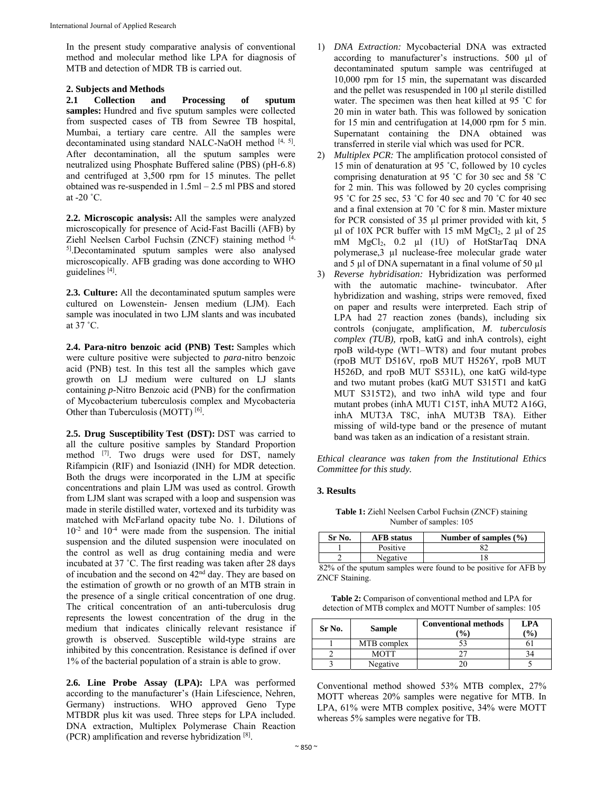In the present study comparative analysis of conventional method and molecular method like LPA for diagnosis of MTB and detection of MDR TB is carried out.

## **2. Subjects and Methods**

**2.1 Collection and Processing of sputum samples:** Hundred and five sputum samples were collected from suspected cases of TB from Sewree TB hospital, Mumbai, a tertiary care centre. All the samples were decontaminated using standard NALC-NaOH method [4, 5]. After decontamination, all the sputum samples were neutralized using Phosphate Buffered saline (PBS) (pH-6.8) and centrifuged at 3,500 rpm for 15 minutes. The pellet obtained was re-suspended in 1.5ml – 2.5 ml PBS and stored at -20 ˚C.

**2.2. Microscopic analysis:** All the samples were analyzed microscopically for presence of Acid-Fast Bacilli (AFB) by Ziehl Neelsen Carbol Fuchsin (ZNCF) staining method [4, 5].Decontaminated sputum samples were also analysed microscopically. AFB grading was done according to WHO guidelines [4].

**2.3. Culture:** All the decontaminated sputum samples were cultured on Lowenstein- Jensen medium (LJM). Each sample was inoculated in two LJM slants and was incubated at 37 ˚C.

**2.4. Para-nitro benzoic acid (PNB) Test:** Samples which were culture positive were subjected to *para*-nitro benzoic acid (PNB) test. In this test all the samples which gave growth on LJ medium were cultured on LJ slants containing *p*-Nitro Benzoic acid (PNB) for the confirmation of Mycobacterium tuberculosis complex and Mycobacteria Other than Tuberculosis (MOTT) [6].

**2.5. Drug Susceptibility Test (DST):** DST was carried to all the culture positive samples by Standard Proportion method [7]. Two drugs were used for DST, namely Rifampicin (RIF) and Isoniazid (INH) for MDR detection. Both the drugs were incorporated in the LJM at specific concentrations and plain LJM was used as control. Growth from LJM slant was scraped with a loop and suspension was made in sterile distilled water, vortexed and its turbidity was matched with McFarland opacity tube No. 1. Dilutions of  $10^{-2}$  and  $10^{-4}$  were made from the suspension. The initial suspension and the diluted suspension were inoculated on the control as well as drug containing media and were incubated at 37 ˚C. The first reading was taken after 28 days of incubation and the second on 42nd day. They are based on the estimation of growth or no growth of an MTB strain in the presence of a single critical concentration of one drug. The critical concentration of an anti-tuberculosis drug represents the lowest concentration of the drug in the medium that indicates clinically relevant resistance if growth is observed. Susceptible wild-type strains are inhibited by this concentration. Resistance is defined if over 1% of the bacterial population of a strain is able to grow.

**2.6. Line Probe Assay (LPA):** LPA was performed according to the manufacturer's (Hain Lifescience, Nehren, Germany) instructions. WHO approved Geno Type MTBDR plus kit was used. Three steps for LPA included. DNA extraction, Multiplex Polymerase Chain Reaction (PCR) amplification and reverse hybridization [8].

- 1) *DNA Extraction:* Mycobacterial DNA was extracted according to manufacturer's instructions. 500 µl of decontaminated sputum sample was centrifuged at 10,000 rpm for 15 min, the supernatant was discarded and the pellet was resuspended in 100 µl sterile distilled water. The specimen was then heat killed at 95 ˚C for 20 min in water bath. This was followed by sonication for 15 min and centrifugation at 14,000 rpm for 5 min. Supernatant containing the DNA obtained was transferred in sterile vial which was used for PCR.
- *Multiplex PCR:* The amplification protocol consisted of 15 min of denaturation at 95 ˚C, followed by 10 cycles comprising denaturation at 95 ˚C for 30 sec and 58 ˚C for 2 min. This was followed by 20 cycles comprising 95 ˚C for 25 sec, 53 ˚C for 40 sec and 70 ˚C for 40 sec and a final extension at 70 ˚C for 8 min. Master mixture for PCR consisted of 35 µl primer provided with kit, 5  $\mu$ l of 10X PCR buffer with 15 mM MgCl<sub>2</sub>, 2  $\mu$ l of 25 mM MgCl<sub>2</sub>, 0.2 µl (1U) of HotStarTaq DNA polymerase,3 µl nuclease-free molecular grade water and 5  $\mu$ l of DNA supernatant in a final volume of 50  $\mu$ l
- 3) *Reverse hybridisation:* Hybridization was performed with the automatic machine- twincubator. After hybridization and washing, strips were removed, fixed on paper and results were interpreted. Each strip of LPA had 27 reaction zones (bands), including six controls (conjugate, amplification, *M. tuberculosis complex (TUB),* rpoB, katG and inhA controls), eight rpoB wild-type (WT1–WT8) and four mutant probes (rpoB MUT D516V, rpoB MUT H526Y, rpoB MUT H526D, and rpoB MUT S531L), one katG wild-type and two mutant probes (katG MUT S315T1 and katG MUT S315T2), and two inhA wild type and four mutant probes (inhA MUT1 C15T, inhA MUT2 A16G, inhA MUT3A T8C, inhA MUT3B T8A). Either missing of wild-type band or the presence of mutant band was taken as an indication of a resistant strain.

*Ethical clearance was taken from the Institutional Ethics Committee for this study.* 

# **3. Results**

**Table 1:** Ziehl Neelsen Carbol Fuchsin (ZNCF) staining Number of samples: 105

| Sr No.                | <b>AFB</b> status | Number of samples $(\% )$ |  |
|-----------------------|-------------------|---------------------------|--|
|                       | Positive          |                           |  |
|                       | Negative          |                           |  |
| ----<br>$\sim$ $\sim$ |                   | $\sim$<br>$\sim$          |  |

 82% of the sputum samples were found to be positive for AFB by ZNCF Staining.

**Table 2:** Comparison of conventional method and LPA for detection of MTB complex and MOTT Number of samples: 105

| Sr No. | <b>Sample</b> | <b>Conventional methods</b><br>$\frac{1}{2}$ | LPA<br>$\frac{1}{2}$ |
|--------|---------------|----------------------------------------------|----------------------|
|        | MTB complex   |                                              |                      |
|        | <b>MOTT</b>   |                                              |                      |
|        | Negative      |                                              |                      |

Conventional method showed 53% MTB complex, 27% MOTT whereas 20% samples were negative for MTB. In LPA, 61% were MTB complex positive, 34% were MOTT whereas 5% samples were negative for TB.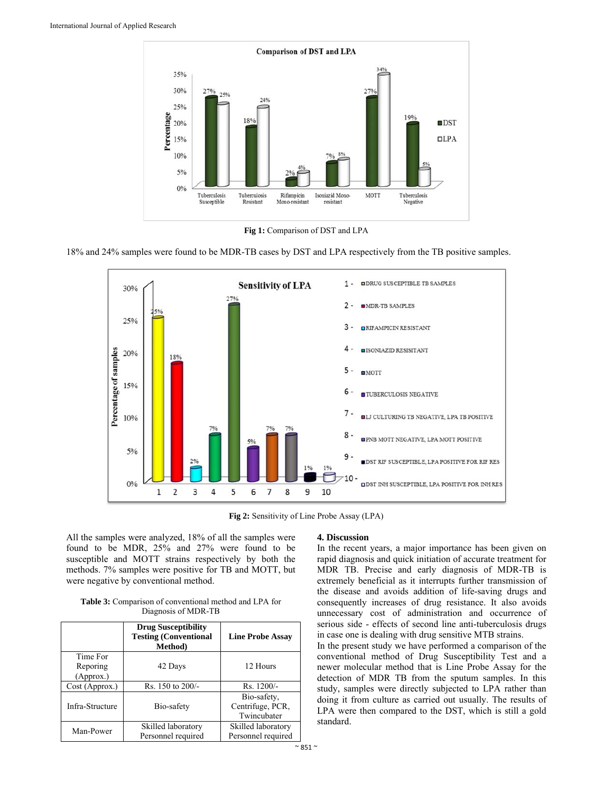

**Fig 1:** Comparison of DST and LPA





**Fig 2:** Sensitivity of Line Probe Assay (LPA)

All the samples were analyzed, 18% of all the samples were found to be MDR, 25% and 27% were found to be susceptible and MOTT strains respectively by both the methods. 7% samples were positive for TB and MOTT, but were negative by conventional method.

**Table 3:** Comparison of conventional method and LPA for Diagnosis of MDR-TB

|                                   | <b>Drug Susceptibility</b><br><b>Testing (Conventional</b><br><b>Method</b> ) | <b>Line Probe Assay</b>                        |
|-----------------------------------|-------------------------------------------------------------------------------|------------------------------------------------|
| Time For<br>Reporing<br>(Approx.) | 42 Days                                                                       | 12 Hours                                       |
| Cost (Approx.)                    | Rs. 150 to 200/-                                                              | $Rs. 1200/-$                                   |
| Infra-Structure                   | Bio-safety                                                                    | Bio-safety,<br>Centrifuge, PCR,<br>Twincubater |
| Man-Power                         | Skilled laboratory<br>Personnel required                                      | Skilled laboratory<br>Personnel required       |

## **4. Discussion**

In the recent years, a major importance has been given on rapid diagnosis and quick initiation of accurate treatment for MDR TB. Precise and early diagnosis of MDR-TB is extremely beneficial as it interrupts further transmission of the disease and avoids addition of life-saving drugs and consequently increases of drug resistance. It also avoids unnecessary cost of administration and occurrence of serious side - effects of second line anti-tuberculosis drugs in case one is dealing with drug sensitive MTB strains.

In the present study we have performed a comparison of the conventional method of Drug Susceptibility Test and a newer molecular method that is Line Probe Assay for the detection of MDR TB from the sputum samples. In this study, samples were directly subjected to LPA rather than doing it from culture as carried out usually. The results of LPA were then compared to the DST, which is still a gold standard.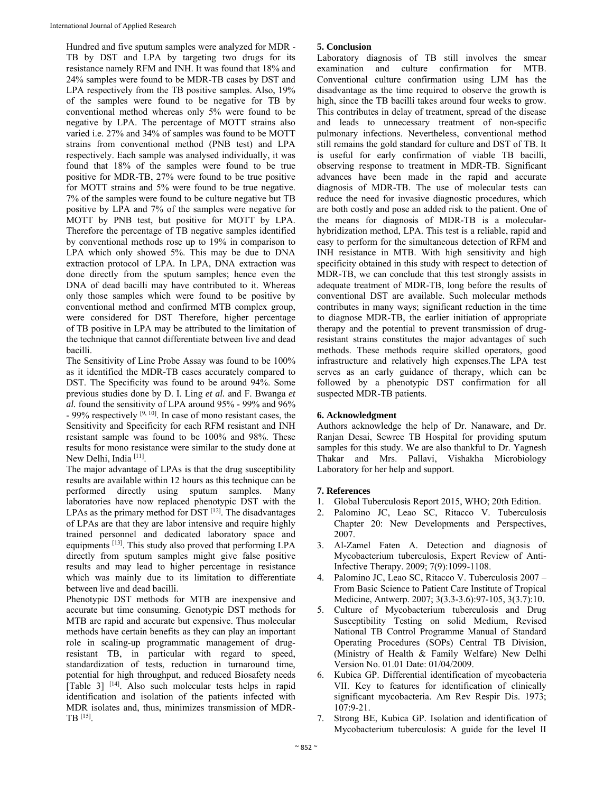Hundred and five sputum samples were analyzed for MDR - TB by DST and LPA by targeting two drugs for its resistance namely RFM and INH. It was found that 18% and 24% samples were found to be MDR-TB cases by DST and LPA respectively from the TB positive samples. Also, 19% of the samples were found to be negative for TB by conventional method whereas only 5% were found to be negative by LPA. The percentage of MOTT strains also varied i.e. 27% and 34% of samples was found to be MOTT strains from conventional method (PNB test) and LPA respectively. Each sample was analysed individually, it was found that 18% of the samples were found to be true positive for MDR-TB, 27% were found to be true positive for MOTT strains and 5% were found to be true negative. 7% of the samples were found to be culture negative but TB positive by LPA and 7% of the samples were negative for MOTT by PNB test, but positive for MOTT by LPA. Therefore the percentage of TB negative samples identified by conventional methods rose up to 19% in comparison to LPA which only showed 5%. This may be due to DNA extraction protocol of LPA. In LPA, DNA extraction was done directly from the sputum samples; hence even the DNA of dead bacilli may have contributed to it. Whereas only those samples which were found to be positive by conventional method and confirmed MTB complex group, were considered for DST Therefore, higher percentage of TB positive in LPA may be attributed to the limitation of the technique that cannot differentiate between live and dead bacilli.

The Sensitivity of Line Probe Assay was found to be 100% as it identified the MDR-TB cases accurately compared to DST. The Specificity was found to be around 94%. Some previous studies done by D. I. Ling *et al.* and F. Bwanga *et al.* found the sensitivity of LPA around 95% - 99% and 96%  $-99\%$  respectively  $[9, 10]$ . In case of mono resistant cases, the Sensitivity and Specificity for each RFM resistant and INH resistant sample was found to be 100% and 98%. These results for mono resistance were similar to the study done at New Delhi, India [11].

The major advantage of LPAs is that the drug susceptibility results are available within 12 hours as this technique can be performed directly using sputum samples. Many laboratories have now replaced phenotypic DST with the LPAs as the primary method for  $\overline{DST}$   $[12]$ . The disadvantages of LPAs are that they are labor intensive and require highly trained personnel and dedicated laboratory space and equipments [13]. This study also proved that performing LPA directly from sputum samples might give false positive results and may lead to higher percentage in resistance which was mainly due to its limitation to differentiate between live and dead bacilli.

Phenotypic DST methods for MTB are inexpensive and accurate but time consuming. Genotypic DST methods for MTB are rapid and accurate but expensive. Thus molecular methods have certain benefits as they can play an important role in scaling-up programmatic management of drugresistant TB, in particular with regard to speed, standardization of tests, reduction in turnaround time, potential for high throughput, and reduced Biosafety needs [Table 3] [14]. Also such molecular tests helps in rapid identification and isolation of the patients infected with MDR isolates and, thus, minimizes transmission of MDR-TB [15].

# **5. Conclusion**

Laboratory diagnosis of TB still involves the smear examination and culture confirmation for MTB. Conventional culture confirmation using LJM has the disadvantage as the time required to observe the growth is high, since the TB bacilli takes around four weeks to grow. This contributes in delay of treatment, spread of the disease and leads to unnecessary treatment of non-specific pulmonary infections. Nevertheless, conventional method still remains the gold standard for culture and DST of TB. It is useful for early confirmation of viable TB bacilli, observing response to treatment in MDR-TB. Significant advances have been made in the rapid and accurate diagnosis of MDR-TB. The use of molecular tests can reduce the need for invasive diagnostic procedures, which are both costly and pose an added risk to the patient. One of the means for diagnosis of MDR-TB is a molecularhybridization method, LPA. This test is a reliable, rapid and easy to perform for the simultaneous detection of RFM and INH resistance in MTB. With high sensitivity and high specificity obtained in this study with respect to detection of MDR-TB, we can conclude that this test strongly assists in adequate treatment of MDR-TB, long before the results of conventional DST are available. Such molecular methods contributes in many ways; significant reduction in the time to diagnose MDR-TB, the earlier initiation of appropriate therapy and the potential to prevent transmission of drugresistant strains constitutes the major advantages of such methods. These methods require skilled operators, good infrastructure and relatively high expenses.The LPA test serves as an early guidance of therapy, which can be followed by a phenotypic DST confirmation for all suspected MDR-TB patients.

# **6. Acknowledgment**

Authors acknowledge the help of Dr. Nanaware, and Dr. Ranjan Desai, Sewree TB Hospital for providing sputum samples for this study. We are also thankful to Dr. Yagnesh Thakar and Mrs. Pallavi, Vishakha Microbiology Laboratory for her help and support.

# **7. References**

- 1. Global Tuberculosis Report 2015, WHO; 20th Edition.
- Palomino JC, Leao SC, Ritacco V. Tuberculosis Chapter 20: New Developments and Perspectives, 2007.
- 3. Al-Zamel Faten A. Detection and diagnosis of Mycobacterium tuberculosis, Expert Review of Anti-Infective Therapy. 2009; 7(9):1099-1108.
- 4. Palomino JC, Leao SC, Ritacco V. Tuberculosis 2007 From Basic Science to Patient Care Institute of Tropical Medicine, Antwerp. 2007; 3(3.3-3.6):97-105, 3(3.7):10.
- 5. Culture of Mycobacterium tuberculosis and Drug Susceptibility Testing on solid Medium, Revised National TB Control Programme Manual of Standard Operating Procedures (SOPs) Central TB Division, (Ministry of Health & Family Welfare) New Delhi Version No. 01.01 Date: 01/04/2009.
- 6. Kubica GP. Differential identification of mycobacteria VII. Key to features for identification of clinically significant mycobacteria. Am Rev Respir Dis. 1973; 107:9-21.
- 7. Strong BE, Kubica GP. Isolation and identification of Mycobacterium tuberculosis: A guide for the level II